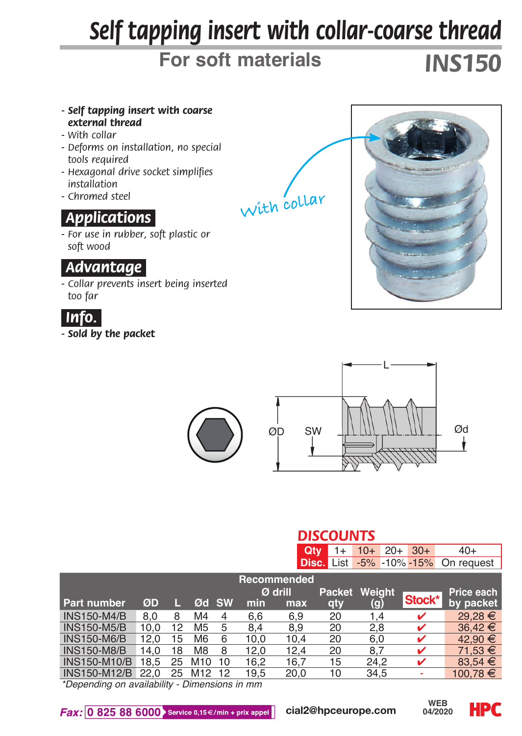# *Self tapping insert with collar-coarse thread*

# **For soft materials** *INS150*

- *Self tapping insert with coarse external thread*
- *With collar*
- *Deforms on installation, no special tools required*
- *Hexagonal drive socket simplifies installation*
- *Chromed steel*

### *.Applications.*

*- For use in rubber, soft plastic or soft wood*

#### *.Advantage.*

*- Collar prevents insert being inserted too far*



*- Sold by the packet*







|                     | <b>DISCOUNTS</b> |    |                 |       |      |           |                                |        |       |        |              |
|---------------------|------------------|----|-----------------|-------|------|-----------|--------------------------------|--------|-------|--------|--------------|
|                     |                  |    |                 |       |      | Qtv       | 1+                             | $10+$  | $20+$ | $30+$  | $40+$        |
|                     |                  |    |                 |       |      |           | <b>Disc.</b> List -5% -10%-15% |        |       |        | On request   |
| Recommended         |                  |    |                 |       |      |           |                                |        |       |        |              |
|                     |                  |    |                 |       |      | $Ø$ drill | <b>Packet</b>                  | Weight |       |        | Price each   |
| Part number         | ØD               |    |                 | Ød SW | min  | max       | qty                            | (g)    |       | Stock* | by packet    |
| <b>INS150-M4/B</b>  | 8.0              | 8  | M <sub>4</sub>  | 4     | 6.6  | 6.9       | 20                             | 1.4    |       | ✓      | 29.28 €      |
| <b>INS150-M5/B</b>  | 10.0             | 12 | M <sub>5</sub>  | 5     | 8.4  | 8.9       | 20                             | 2.8    |       | ✓      | $36,42 \in$  |
| <b>INS150-M6/B</b>  | 12.0             | 15 | M <sub>6</sub>  | 6     | 10.0 | 10.4      | 20                             | 6.0    |       | ✓      | 42,90 €      |
| <b>INS150-M8/B</b>  | 14.0             | 18 | M8              | 8     | 12.0 | 12,4      | 20                             | 8.7    |       | v      | 71,53 €      |
| <b>INS150-M10/B</b> | 18.5             | 25 | M <sub>10</sub> | 10    | 16,2 | 16,7      | 15                             | 24.2   |       | v      | 83,54 $\in$  |
| <b>INS150-M12/B</b> | 22.0             | 25 | M <sub>12</sub> | 12    | 19.5 | 20.0      | 10                             | 34.5   |       |        | $100.78 \in$ |
|                     |                  |    |                 |       |      |           |                                |        |       |        |              |

*\*Depending on availability - Dimensions in mm*